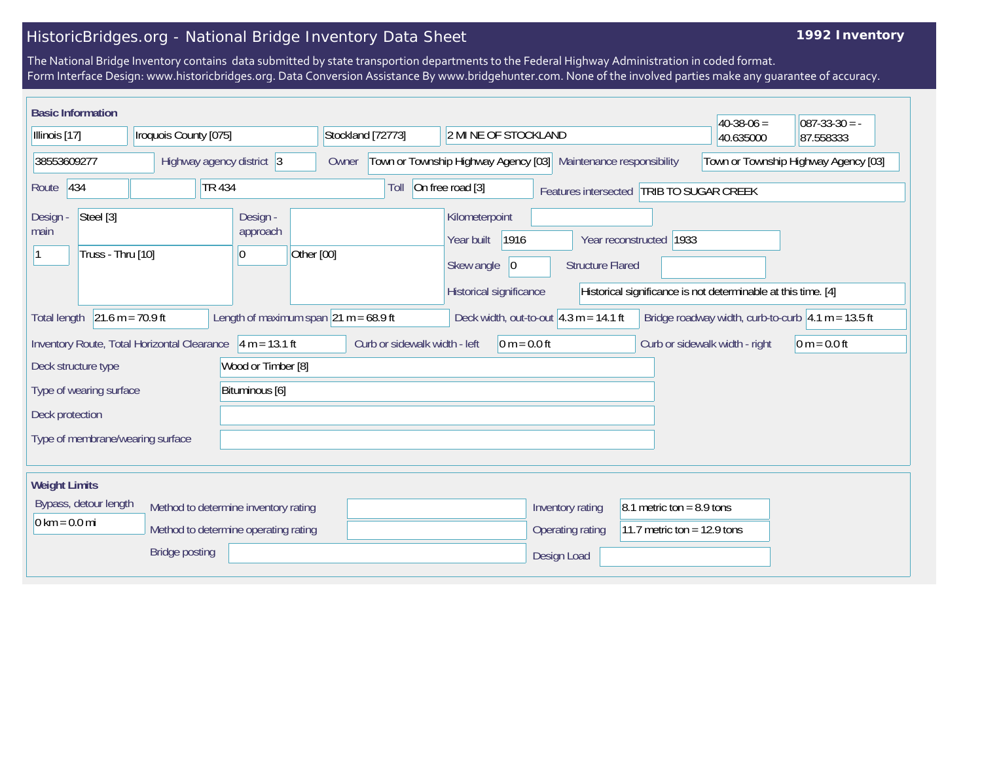## HistoricBridges.org - National Bridge Inventory Data Sheet

## **1992 Inventory**

The National Bridge Inventory contains data submitted by state transportion departments to the Federal Highway Administration in coded format. Form Interface Design: www.historicbridges.org. Data Conversion Assistance By www.bridgehunter.com. None of the involved parties make any guarantee of accuracy.

| <b>Basic Information</b>                                                                                |                                                             |                                                           |                                                                 |                                                                                                                        |                                          | $40-38-06=$                                           | $087 - 33 - 30 = -$ |
|---------------------------------------------------------------------------------------------------------|-------------------------------------------------------------|-----------------------------------------------------------|-----------------------------------------------------------------|------------------------------------------------------------------------------------------------------------------------|------------------------------------------|-------------------------------------------------------|---------------------|
| Iroquois County [075]<br>Illinois [17]                                                                  |                                                             | Stockland [72773]                                         | 2 MI NE OF STOCKLAND                                            |                                                                                                                        | 40.635000                                | 87.558333                                             |                     |
| 38553609277<br>Highway agency district 3                                                                |                                                             | Owner                                                     | Town or Township Highway Agency [03] Maintenance responsibility |                                                                                                                        |                                          | Town or Township Highway Agency [03]                  |                     |
| Route 434                                                                                               | <b>TR 434</b>                                               |                                                           | Toll                                                            | On free road [3]                                                                                                       | Features intersected TRIB TO SUGAR CREEK |                                                       |                     |
| Steel [3]<br>Design -<br>Design -<br>approach<br>main<br>Truss - Thru [10]<br>Other [00]<br>$ 0\rangle$ |                                                             |                                                           | Kilometerpoint<br>1916<br>Year built                            | 1933<br>Year reconstructed<br><b>Structure Flared</b><br>Historical significance is not determinable at this time. [4] |                                          |                                                       |                     |
|                                                                                                         |                                                             |                                                           | Skew angle<br> 0 <br>Historical significance                    |                                                                                                                        |                                          |                                                       |                     |
| $21.6 m = 70.9 ft$<br>Total length                                                                      |                                                             | Length of maximum span $ 21 \text{ m} = 68.9 \text{ ft} $ |                                                                 | Deck width, out-to-out $4.3 m = 14.1 ft$                                                                               |                                          | Bridge roadway width, curb-to-curb $ 4.1 m = 13.5 ft$ |                     |
|                                                                                                         | Inventory Route, Total Horizontal Clearance $4 m = 13.1 ft$ |                                                           | Curb or sidewalk width - left                                   | 0 m = $0.0$ ft                                                                                                         |                                          | Curb or sidewalk width - right                        | $0 m = 0.0 ft$      |
| Deck structure type                                                                                     |                                                             | Wood or Timber [8]                                        |                                                                 |                                                                                                                        |                                          |                                                       |                     |
| Type of wearing surface<br>Bituminous [6]                                                               |                                                             |                                                           |                                                                 |                                                                                                                        |                                          |                                                       |                     |
| Deck protection                                                                                         |                                                             |                                                           |                                                                 |                                                                                                                        |                                          |                                                       |                     |
| Type of membrane/wearing surface                                                                        |                                                             |                                                           |                                                                 |                                                                                                                        |                                          |                                                       |                     |
| <b>Weight Limits</b>                                                                                    |                                                             |                                                           |                                                                 |                                                                                                                        |                                          |                                                       |                     |
| Bypass, detour length<br>Method to determine inventory rating                                           |                                                             |                                                           |                                                                 |                                                                                                                        | Inventory rating                         | 8.1 metric ton = $8.9$ tons                           |                     |
| $0 \text{ km} = 0.0 \text{ mi}$<br>Method to determine operating rating                                 |                                                             |                                                           |                                                                 |                                                                                                                        | <b>Operating rating</b>                  | 11.7 metric ton = 12.9 tons                           |                     |
| <b>Bridge posting</b>                                                                                   |                                                             |                                                           |                                                                 | Design Load                                                                                                            |                                          |                                                       |                     |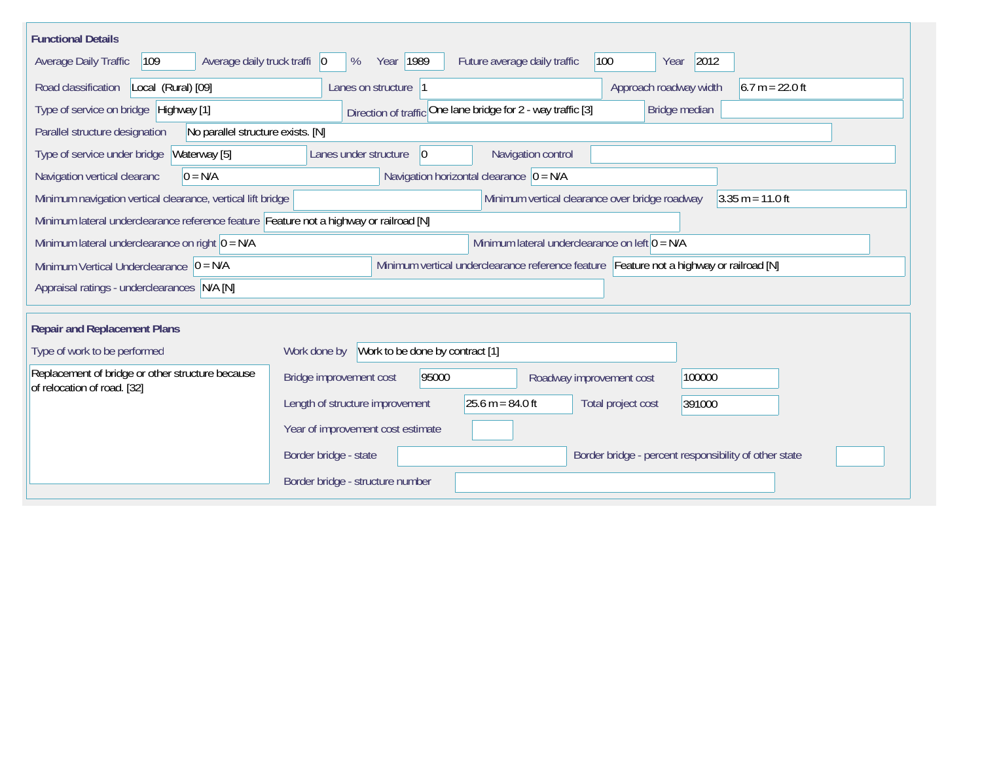| <b>Functional Details</b>                                                              |                                                                                         |
|----------------------------------------------------------------------------------------|-----------------------------------------------------------------------------------------|
| Average daily truck traffi   0<br>Average Daily Traffic<br>109                         | 2012<br>Year   1989<br>Future average daily traffic<br>100<br>%<br>Year                 |
| Road classification<br>Local (Rural) [09]                                              | Approach roadway width<br>$6.7 m = 22.0 ft$<br>Lanes on structure 1                     |
| Type of service on bridge Highway [1]                                                  | Direction of traffic One lane bridge for 2 - way traffic [3]<br>Bridge median           |
| Parallel structure designation<br>No parallel structure exists. [N]                    |                                                                                         |
| Waterway [5]<br>Type of service under bridge                                           | Navigation control<br>Lanes under structure<br>$ 0\rangle$                              |
| $0 = N/A$<br>Navigation vertical clearanc                                              | Navigation horizontal clearance $ 0 = N/A$                                              |
| Minimum navigation vertical clearance, vertical lift bridge                            | Minimum vertical clearance over bridge roadway<br>$3.35 m = 11.0 ft$                    |
| Minimum lateral underclearance reference feature Feature not a highway or railroad [N] |                                                                                         |
| Minimum lateral underclearance on right $0 = N/A$                                      | Minimum lateral underclearance on left $0 = N/A$                                        |
| Minimum Vertical Underclearance $ 0 = N/A$                                             | Minimum vertical underclearance reference feature Feature not a highway or railroad [N] |
| Appraisal ratings - underclearances N/A [N]                                            |                                                                                         |
|                                                                                        |                                                                                         |
| <b>Repair and Replacement Plans</b>                                                    |                                                                                         |
| Type of work to be performed                                                           | Work to be done by contract [1]<br>Work done by                                         |
| Replacement of bridge or other structure because<br>of relocation of road. [32]        | Bridge improvement cost<br>95000<br>100000<br>Roadway improvement cost                  |
|                                                                                        | $25.6 m = 84.0 ft$<br>Length of structure improvement<br>Total project cost<br>391000   |
|                                                                                        | Year of improvement cost estimate                                                       |
|                                                                                        | Border bridge - state<br>Border bridge - percent responsibility of other state          |
|                                                                                        | Border bridge - structure number                                                        |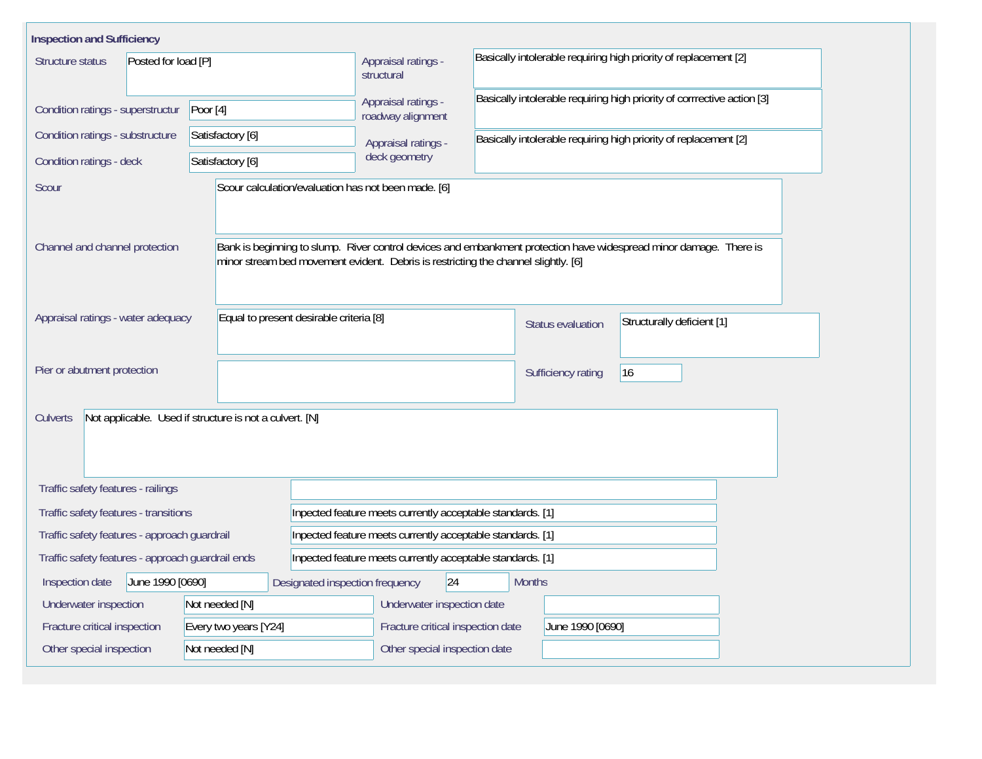| <b>Inspection and Sufficiency</b>                                   |                                         |                                                                                    |                                                                                         |                                                                         |                                                                                                                    |  |  |  |  |  |
|---------------------------------------------------------------------|-----------------------------------------|------------------------------------------------------------------------------------|-----------------------------------------------------------------------------------------|-------------------------------------------------------------------------|--------------------------------------------------------------------------------------------------------------------|--|--|--|--|--|
| Structure status<br>Posted for load [P]                             |                                         | structural                                                                         | Basically intolerable requiring high priority of replacement [2]<br>Appraisal ratings - |                                                                         |                                                                                                                    |  |  |  |  |  |
| Condition ratings - superstructur                                   | Poor $[4]$                              | Appraisal ratings -<br>roadway alignment                                           |                                                                                         | Basically intolerable requiring high priority of corrrective action [3] |                                                                                                                    |  |  |  |  |  |
| Condition ratings - substructure                                    | Satisfactory [6]                        |                                                                                    | Basically intolerable requiring high priority of replacement [2]<br>Appraisal ratings - |                                                                         |                                                                                                                    |  |  |  |  |  |
| Condition ratings - deck                                            | Satisfactory [6]                        | deck geometry                                                                      |                                                                                         |                                                                         |                                                                                                                    |  |  |  |  |  |
| Scour                                                               |                                         | Scour calculation/evaluation has not been made. [6]                                |                                                                                         |                                                                         |                                                                                                                    |  |  |  |  |  |
| Channel and channel protection                                      |                                         | minor stream bed movement evident. Debris is restricting the channel slightly. [6] |                                                                                         |                                                                         | Bank is beginning to slump. River control devices and embankment protection have widespread minor damage. There is |  |  |  |  |  |
| Appraisal ratings - water adequacy                                  | Equal to present desirable criteria [8] |                                                                                    |                                                                                         | Status evaluation                                                       | Structurally deficient [1]                                                                                         |  |  |  |  |  |
| Pier or abutment protection                                         |                                         |                                                                                    |                                                                                         | Sufficiency rating                                                      | 16                                                                                                                 |  |  |  |  |  |
| Not applicable. Used if structure is not a culvert. [N]<br>Culverts |                                         |                                                                                    |                                                                                         |                                                                         |                                                                                                                    |  |  |  |  |  |
| Traffic safety features - railings                                  |                                         |                                                                                    |                                                                                         |                                                                         |                                                                                                                    |  |  |  |  |  |
| Traffic safety features - transitions                               |                                         |                                                                                    | Inpected feature meets currently acceptable standards. [1]                              |                                                                         |                                                                                                                    |  |  |  |  |  |
| Traffic safety features - approach guardrail                        |                                         |                                                                                    | Inpected feature meets currently acceptable standards. [1]                              |                                                                         |                                                                                                                    |  |  |  |  |  |
| Traffic safety features - approach guardrail ends                   |                                         |                                                                                    | Inpected feature meets currently acceptable standards. [1]                              |                                                                         |                                                                                                                    |  |  |  |  |  |
| June 1990 [0690]<br>Inspection date                                 |                                         | Designated inspection frequency                                                    | 24                                                                                      | <b>Months</b>                                                           |                                                                                                                    |  |  |  |  |  |
| Underwater inspection                                               | Not needed [N]                          |                                                                                    | Underwater inspection date                                                              |                                                                         |                                                                                                                    |  |  |  |  |  |
| Fracture critical inspection                                        | Every two years [Y24]                   |                                                                                    | Fracture critical inspection date                                                       | June 1990 [0690]                                                        |                                                                                                                    |  |  |  |  |  |
| Other special inspection<br>Not needed [N]                          |                                         | Other special inspection date                                                      |                                                                                         |                                                                         |                                                                                                                    |  |  |  |  |  |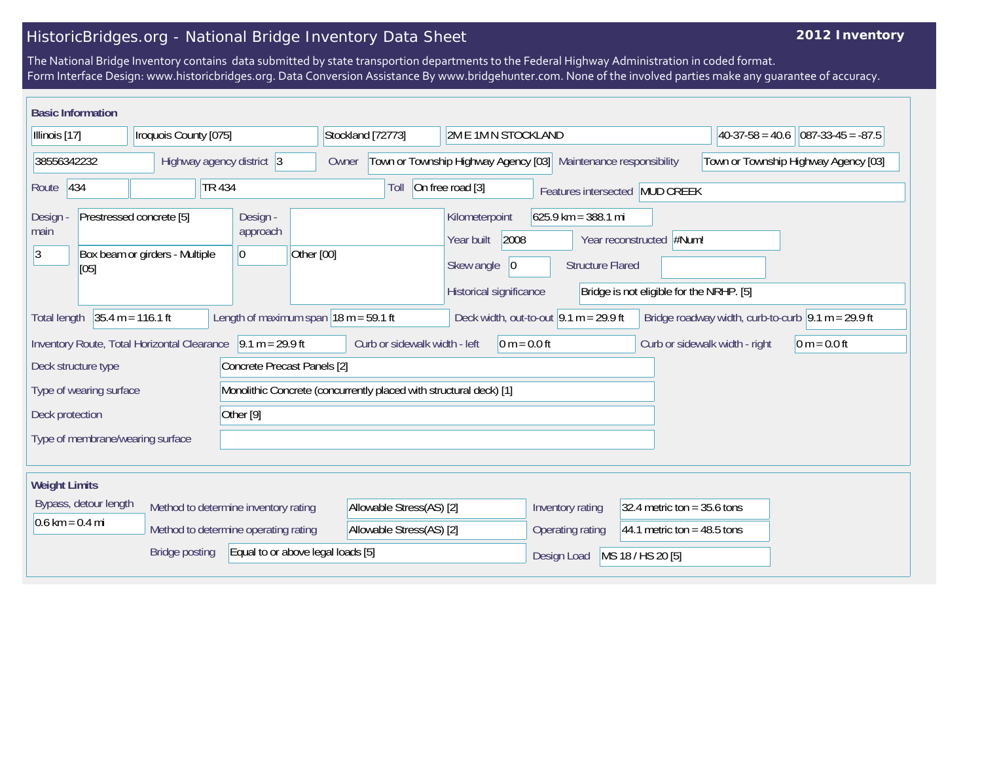## HistoricBridges.org - National Bridge Inventory Data Sheet

## **2012 Inventory**

The National Bridge Inventory contains data submitted by state transportion departments to the Federal Highway Administration in coded format. Form Interface Design: www.historicbridges.org. Data Conversion Assistance By www.bridgehunter.com. None of the involved parties make any guarantee of accuracy.

| <b>Basic Information</b>                                                                                                                          |                                                            |                                             |                                                                 |                                                   |                                                                     |                                         |                                                                                    |                                  |                                                                    |                                |  |                |  |                                                                            |
|---------------------------------------------------------------------------------------------------------------------------------------------------|------------------------------------------------------------|---------------------------------------------|-----------------------------------------------------------------|---------------------------------------------------|---------------------------------------------------------------------|-----------------------------------------|------------------------------------------------------------------------------------|----------------------------------|--------------------------------------------------------------------|--------------------------------|--|----------------|--|----------------------------------------------------------------------------|
| Illinois [17]<br>Iroquois County [075]                                                                                                            |                                                            | Stockland [72773]                           |                                                                 | 2M E 1M N STOCKLAND                               |                                                                     | $ 40-37-58=40.6 $                       | $ 087-33-45 = -87.5$                                                               |                                  |                                                                    |                                |  |                |  |                                                                            |
| 38556342232<br>Highway agency district 3                                                                                                          |                                                            | Owner                                       | Town or Township Highway Agency [03] Maintenance responsibility |                                                   |                                                                     |                                         |                                                                                    |                                  | Town or Township Highway Agency [03]                               |                                |  |                |  |                                                                            |
| 434<br>Route                                                                                                                                      |                                                            | <b>TR 434</b>                               |                                                                 |                                                   | On free road [3]<br>Toll                                            |                                         |                                                                                    |                                  |                                                                    | Features intersected MUD CREEK |  |                |  |                                                                            |
| Design -<br>Prestressed concrete [5]<br>Design<br>main<br>approach<br>3<br>Box beam or girders - Multiple<br>Other [00]<br>$\overline{0}$<br>[05] |                                                            | Kilometerpoint<br>2008<br>Year built        |                                                                 | $625.9$ km = 388.1 mi<br>Year reconstructed #Num! |                                                                     |                                         |                                                                                    |                                  |                                                                    |                                |  |                |  |                                                                            |
|                                                                                                                                                   |                                                            |                                             | 0 <br>Skew angle<br>Historical significance                     |                                                   | <b>Structure Flared</b><br>Bridge is not eligible for the NRHP. [5] |                                         |                                                                                    |                                  |                                                                    |                                |  |                |  |                                                                            |
| <b>Total length</b>                                                                                                                               |                                                            | $35.4 m = 116.1 ft$                         |                                                                 |                                                   |                                                                     | Length of maximum span $18 m = 59.1 ft$ |                                                                                    |                                  | Deck width, out-to-out $ 9.1 \text{ m} = 29.9 \text{ ft}$          |                                |  |                |  | Bridge roadway width, curb-to-curb $\vert 9.1 \text{ m} = 29.9 \text{ ft}$ |
|                                                                                                                                                   |                                                            | Inventory Route, Total Horizontal Clearance |                                                                 | $9.1 m = 29.9 ft$                                 |                                                                     |                                         | Curb or sidewalk width - left<br>Curb or sidewalk width - right<br>$ 0 m = 0.0 ft$ |                                  |                                                                    |                                |  | $0 m = 0.0 ft$ |  |                                                                            |
| Deck structure type                                                                                                                               |                                                            |                                             |                                                                 | Concrete Precast Panels [2]                       |                                                                     |                                         |                                                                                    |                                  |                                                                    |                                |  |                |  |                                                                            |
|                                                                                                                                                   | Type of wearing surface                                    |                                             |                                                                 |                                                   |                                                                     |                                         |                                                                                    |                                  | Monolithic Concrete (concurrently placed with structural deck) [1] |                                |  |                |  |                                                                            |
| Other $[9]$<br>Deck protection                                                                                                                    |                                                            |                                             |                                                                 |                                                   |                                                                     |                                         |                                                                                    |                                  |                                                                    |                                |  |                |  |                                                                            |
|                                                                                                                                                   | Type of membrane/wearing surface                           |                                             |                                                                 |                                                   |                                                                     |                                         |                                                                                    |                                  |                                                                    |                                |  |                |  |                                                                            |
| <b>Weight Limits</b>                                                                                                                              |                                                            |                                             |                                                                 |                                                   |                                                                     |                                         |                                                                                    |                                  |                                                                    |                                |  |                |  |                                                                            |
| Bypass, detour length<br>Method to determine inventory rating                                                                                     |                                                            |                                             | Allowable Stress(AS) [2]                                        |                                                   | Inventory rating                                                    |                                         | 32.4 metric ton = $35.6$ tons                                                      |                                  |                                                                    |                                |  |                |  |                                                                            |
| $0.6 \text{ km} = 0.4 \text{ mi}$<br>Method to determine operating rating                                                                         |                                                            |                                             | Allowable Stress(AS) [2]                                        |                                                   |                                                                     | Operating rating                        |                                                                                    | 44.1 metric ton = $48.5$ tons    |                                                                    |                                |  |                |  |                                                                            |
|                                                                                                                                                   | Equal to or above legal loads [5]<br><b>Bridge posting</b> |                                             |                                                                 |                                                   |                                                                     |                                         |                                                                                    | MS 18 / HS 20 [5]<br>Design Load |                                                                    |                                |  |                |  |                                                                            |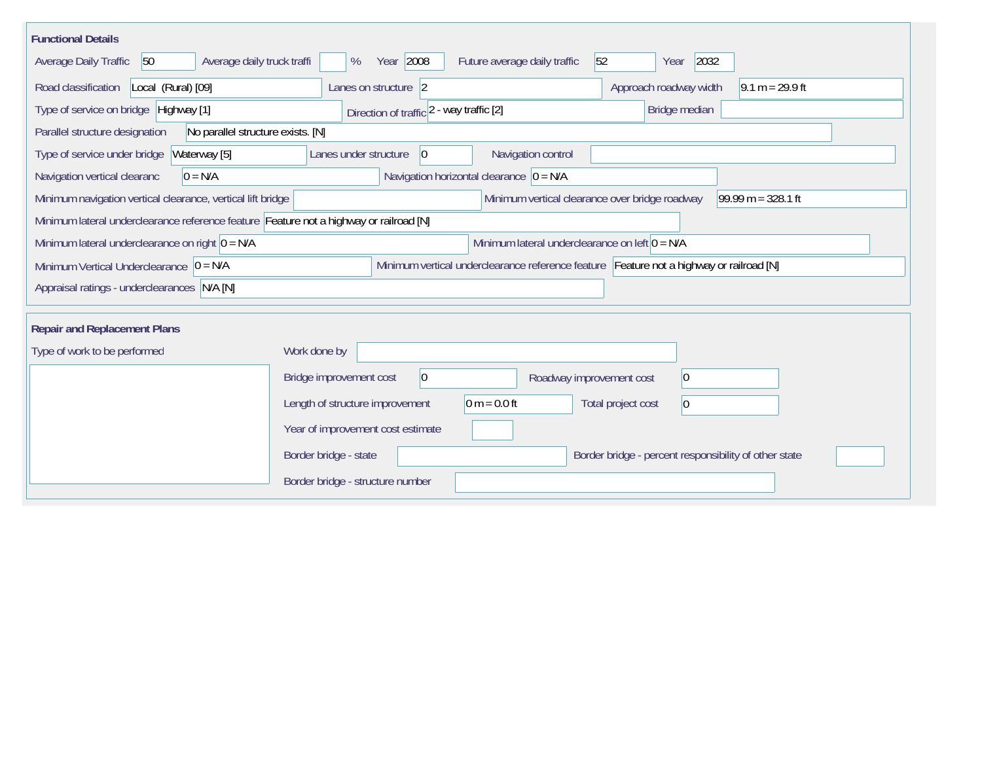| <b>Functional Details</b>                                                              |                                                                                         |
|----------------------------------------------------------------------------------------|-----------------------------------------------------------------------------------------|
| 50<br>Average daily truck traffi<br>Average Daily Traffic                              | Year 2008<br>2032<br>Future average daily traffic<br>52<br>%<br>Year                    |
| Road classification<br>Local (Rural) [09]                                              | Approach roadway width<br>Lanes on structure 2<br>$9.1 m = 29.9 ft$                     |
| Type of service on bridge Highway [1]                                                  | Bridge median<br>Direction of traffic 2 - way traffic [2]                               |
| Parallel structure designation<br>No parallel structure exists. [N]                    |                                                                                         |
| Type of service under bridge<br>Waterway [5]                                           | Navigation control<br> 0 <br>Lanes under structure                                      |
| $0 = N/A$<br>Navigation vertical clearanc                                              | Navigation horizontal clearance $ 0 = N/A$                                              |
| Minimum navigation vertical clearance, vertical lift bridge                            | Minimum vertical clearance over bridge roadway<br>$99.99 m = 328.1 ft$                  |
| Minimum lateral underclearance reference feature Feature not a highway or railroad [N] |                                                                                         |
| Minimum lateral underclearance on right $0 = N/A$                                      | Minimum lateral underclearance on left $0 = N/A$                                        |
| Minimum Vertical Underclearance $ 0 = N/A$                                             | Minimum vertical underclearance reference feature Feature not a highway or railroad [N] |
| Appraisal ratings - underclearances N/A [N]                                            |                                                                                         |
|                                                                                        |                                                                                         |
| <b>Repair and Replacement Plans</b>                                                    |                                                                                         |
| Type of work to be performed                                                           | Work done by                                                                            |
|                                                                                        | $\vert 0 \vert$<br>Bridge improvement cost<br>$ 0\rangle$<br>Roadway improvement cost   |
|                                                                                        | $0 m = 0.0 ft$<br>Length of structure improvement<br>Total project cost<br>$ 0\rangle$  |
|                                                                                        | Year of improvement cost estimate                                                       |
|                                                                                        | Border bridge - state<br>Border bridge - percent responsibility of other state          |
|                                                                                        | Border bridge - structure number                                                        |